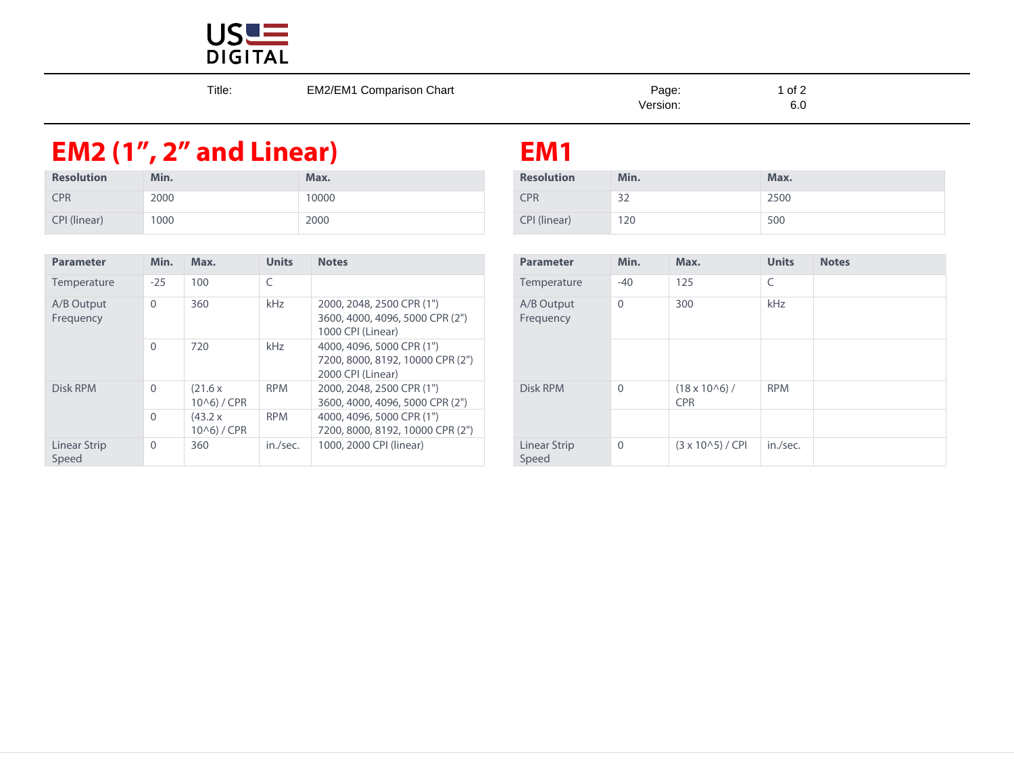

| Title: | <b>EM2/EM1 Comparison Chart</b> | Page:<br>Version: | $1$ of $2$<br>6.C |
|--------|---------------------------------|-------------------|-------------------|
|        |                                 |                   |                   |

## **EM2 (1", 2" and Linear) EM1**

| <b>Resolution</b> | Min. | Max.  | <b>Resolution</b> | Min.                 | <b>Max</b> |
|-------------------|------|-------|-------------------|----------------------|------------|
| <b>CPR</b>        | 2000 | 10000 | <b>CPR</b>        | $\mathcal{D}$<br>ے ر | 2500       |
| CPI (linear)      | 1000 | 2000  | CPI (linear)      | 120                  | 500        |

| <b>Parameter</b>        | Min.         | Max.                              | <b>Units</b> | <b>Notes</b>                                                                       | <b>Parameter</b>        | Min.         | Max.                                 | $\cup$       |
|-------------------------|--------------|-----------------------------------|--------------|------------------------------------------------------------------------------------|-------------------------|--------------|--------------------------------------|--------------|
| Temperature             | $-25$        | 100                               | C            |                                                                                    | Temperature             | $-40$        | 125                                  | C            |
| A/B Output<br>Frequency | $\mathbf{0}$ | 360                               | kHz          | 2000, 2048, 2500 CPR (1")<br>3600, 4000, 4096, 5000 CPR (2")<br>1000 CPI (Linear)  | A/B Output<br>Frequency | $\Omega$     | 300                                  | $\mathsf{k}$ |
|                         | $\Omega$     | 720                               | <b>kHz</b>   | 4000, 4096, 5000 CPR (1")<br>7200, 8000, 8192, 10000 CPR (2")<br>2000 CPI (Linear) |                         |              |                                      |              |
| Disk RPM                | $\Omega$     | (21.6 x)<br>10 <sub>0</sub> / CPR | <b>RPM</b>   | 2000, 2048, 2500 CPR (1")<br>3600, 4000, 4096, 5000 CPR (2")                       | Disk RPM                | $\Omega$     | $(18 \times 10^{6})$ /<br><b>CPR</b> | R            |
|                         | $\Omega$     | (43.2 x)<br>10 <sub>0</sub> / CPR | <b>RPM</b>   | 4000, 4096, 5000 CPR (1")<br>7200, 8000, 8192, 10000 CPR (2")                      |                         |              |                                      |              |
| Linear Strip<br>Speed   | $\mathbf{0}$ | 360                               | in./sec.     | 1000, 2000 CPI (linear)                                                            | Linear Strip<br>Speed   | $\mathbf{0}$ | $(3 \times 10^{6} - 5) /$ CPI        | in           |

| S                                                                    | <b>Parameter</b>        | Min.         | Max.                                 | <b>Units</b> | <b>Notes</b> |
|----------------------------------------------------------------------|-------------------------|--------------|--------------------------------------|--------------|--------------|
|                                                                      | Temperature             | $-40$        | 125                                  | C            |              |
| , 2048, 2500 CPR (1")<br>, 4000, 4096, 5000 CPR (2")<br>CPI (Linear) | A/B Output<br>Frequency | $\mathbf{0}$ | 300                                  | kHz          |              |
| . 4096. 5000 CPR (1")<br>8000, 8192, 10000 CPR (2")<br>CPI (Linear)  |                         |              |                                      |              |              |
| . 2048. 2500 CPR (1")<br>, 4000, 4096, 5000 CPR (2")                 | Disk RPM                | $\mathbf{0}$ | $(18 \times 10^{6})$ /<br><b>CPR</b> | <b>RPM</b>   |              |
| . 4096. 5000 CPR (1")<br>8000, 8192, 10000 CPR (2")                  |                         |              |                                      |              |              |
| . 2000 CPI (linear)                                                  | Linear Strip<br>Speed   | $\mathbf 0$  | $(3 \times 10^{6} - 5) /$ CPI        | in./sec.     |              |